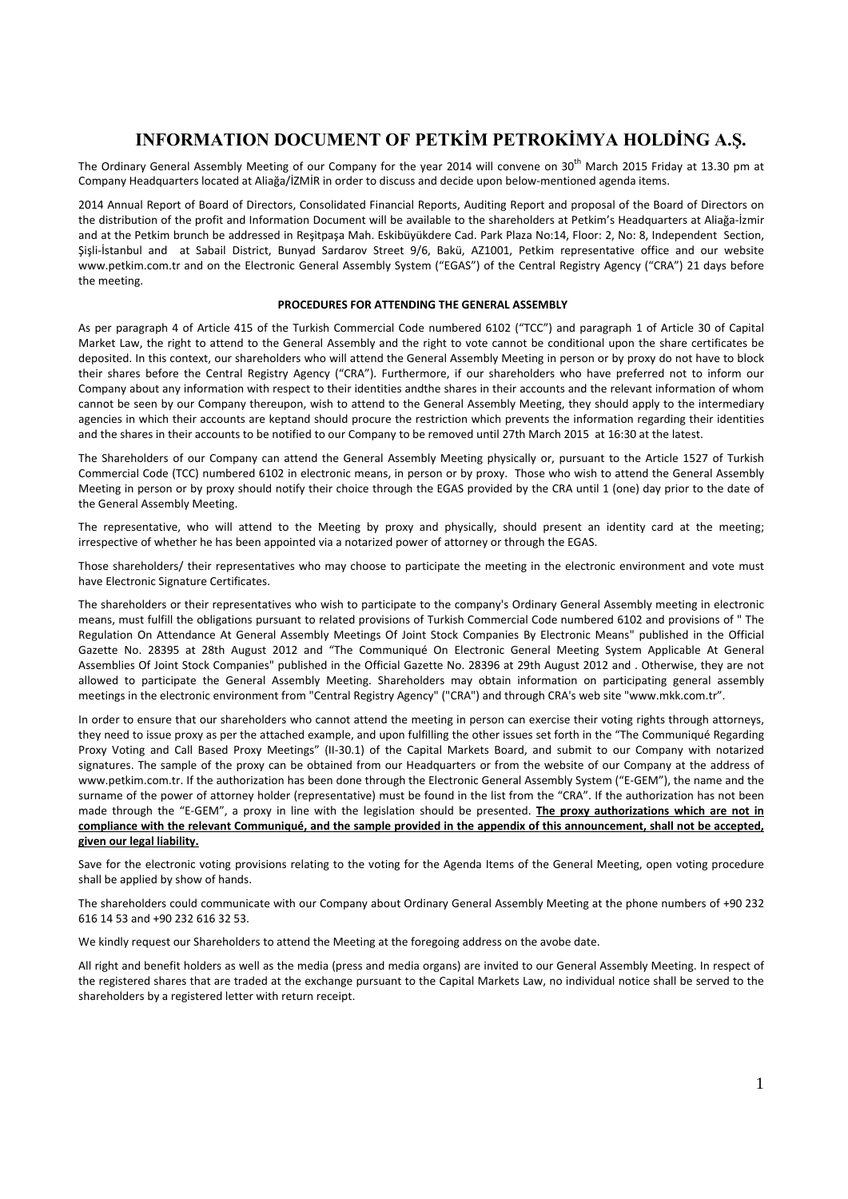# **INFORMATION DOCUMENT OF PETKİM PETROKİMYA HOLDİNG A.Ş.**

The Ordinary General Assembly Meeting of our Company for the year 2014 will convene on 30<sup>th</sup> March 2015 Friday at 13.30 pm at Company Headquarters located at Aliağa/İZMİR in order to discuss and decide upon below‐mentioned agenda items.

2014 Annual Report of Board of Directors, Consolidated Financial Reports, Auditing Report and proposal of the Board of Directors on the distribution of the profit and Information Document will be available to the shareholders at Petkim's Headquarters at Aliağa‐İzmir and at the Petkim brunch be addressed in Reşitpaşa Mah. Eskibüyükdere Cad. Park Plaza No:14, Floor: 2, No: 8, Independent Section, Şişli‐İstanbul and at Sabail District, Bunyad Sardarov Street 9/6, Bakü, AZ1001, Petkim representative office and our website www.petkim.com.tr and on the Electronic General Assembly System ("EGAS") of the Central Registry Agency ("CRA") 21 days before the meeting.

### **PROCEDURES FOR ATTENDING THE GENERAL ASSEMBLY**

As per paragraph 4 of Article 415 of the Turkish Commercial Code numbered 6102 ("TCC") and paragraph 1 of Article 30 of Capital Market Law, the right to attend to the General Assembly and the right to vote cannot be conditional upon the share certificates be deposited. In this context, our shareholders who will attend the General Assembly Meeting in person or by proxy do not have to block their shares before the Central Registry Agency ("CRA"). Furthermore, if our shareholders who have preferred not to inform our Company about any information with respect to their identities andthe shares in their accounts and the relevant information of whom cannot be seen by our Company thereupon, wish to attend to the General Assembly Meeting, they should apply to the intermediary agencies in which their accounts are keptand should procure the restriction which prevents the information regarding their identities and the shares in their accounts to be notified to our Company to be removed until 27th March 2015 at 16:30 at the latest.

The Shareholders of our Company can attend the General Assembly Meeting physically or, pursuant to the Article 1527 of Turkish Commercial Code (TCC) numbered 6102 in electronic means, in person or by proxy. Those who wish to attend the General Assembly Meeting in person or by proxy should notify their choice through the EGAS provided by the CRA until 1 (one) day prior to the date of the General Assembly Meeting.

The representative, who will attend to the Meeting by proxy and physically, should present an identity card at the meeting; irrespective of whether he has been appointed via a notarized power of attorney or through the EGAS.

Those shareholders/ their representatives who may choose to participate the meeting in the electronic environment and vote must have Electronic Signature Certificates.

The shareholders or their representatives who wish to participate to the company's Ordinary General Assembly meeting in electronic means, must fulfill the obligations pursuant to related provisions of Turkish Commercial Code numbered 6102 and provisions of " The Regulation On Attendance At General Assembly Meetings Of Joint Stock Companies By Electronic Means" published in the Official Gazette No. 28395 at 28th August 2012 and "The Communiqué On Electronic General Meeting System Applicable At General Assemblies Of Joint Stock Companies" published in the Official Gazette No. 28396 at 29th August 2012 and . Otherwise, they are not allowed to participate the General Assembly Meeting. Shareholders may obtain information on participating general assembly meetings in the electronic environment from "Central Registry Agency" ("CRA") and through CRA's web site "www.mkk.com.tr".

In order to ensure that our shareholders who cannot attend the meeting in person can exercise their voting rights through attorneys, they need to issue proxy as per the attached example, and upon fulfilling the other issues set forth in the "The Communiqué Regarding Proxy Voting and Call Based Proxy Meetings" (II‐30.1) of the Capital Markets Board, and submit to our Company with notarized signatures. The sample of the proxy can be obtained from our Headquarters or from the website of our Company at the address of www.petkim.com.tr. If the authorization has been done through the Electronic General Assembly System ("E‐GEM"), the name and the surname of the power of attorney holder (representative) must be found in the list from the "CRA". If the authorization has not been made through the "E‐GEM", a proxy in line with the legislation should be presented. **The proxy authorizations which are not in** compliance with the relevant Communiqué, and the sample provided in the appendix of this announcement, shall not be accepted, **given our legal liability.**

Save for the electronic voting provisions relating to the voting for the Agenda Items of the General Meeting, open voting procedure shall be applied by show of hands.

The shareholders could communicate with our Company about Ordinary General Assembly Meeting at the phone numbers of +90 232 616 14 53 and +90 232 616 32 53.

We kindly request our Shareholders to attend the Meeting at the foregoing address on the avobe date.

All right and benefit holders as well as the media (press and media organs) are invited to our General Assembly Meeting. In respect of the registered shares that are traded at the exchange pursuant to the Capital Markets Law, no individual notice shall be served to the shareholders by a registered letter with return receipt.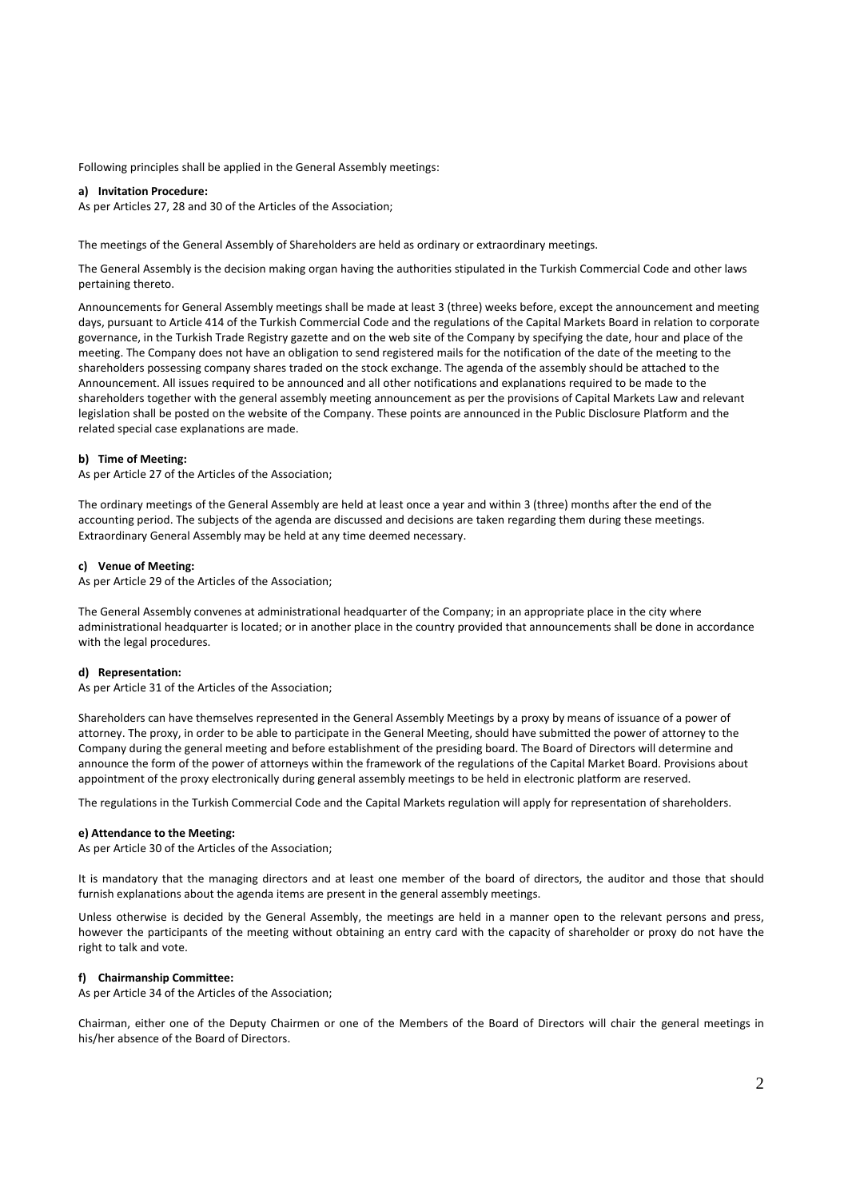Following principles shall be applied in the General Assembly meetings:

#### **a) Invitation Procedure:**

As per Articles 27, 28 and 30 of the Articles of the Association;

The meetings of the General Assembly of Shareholders are held as ordinary or extraordinary meetings.

The General Assembly is the decision making organ having the authorities stipulated in the Turkish Commercial Code and other laws pertaining thereto.

Announcements for General Assembly meetings shall be made at least 3 (three) weeks before, except the announcement and meeting days, pursuant to Article 414 of the Turkish Commercial Code and the regulations of the Capital Markets Board in relation to corporate governance, in the Turkish Trade Registry gazette and on the web site of the Company by specifying the date, hour and place of the meeting. The Company does not have an obligation to send registered mails for the notification of the date of the meeting to the shareholders possessing company shares traded on the stock exchange. The agenda of the assembly should be attached to the Announcement. All issues required to be announced and all other notifications and explanations required to be made to the shareholders together with the general assembly meeting announcement as per the provisions of Capital Markets Law and relevant legislation shall be posted on the website of the Company. These points are announced in the Public Disclosure Platform and the related special case explanations are made.

### **b) Time of Meeting:**

As per Article 27 of the Articles of the Association;

The ordinary meetings of the General Assembly are held at least once a year and within 3 (three) months after the end of the accounting period. The subjects of the agenda are discussed and decisions are taken regarding them during these meetings. Extraordinary General Assembly may be held at any time deemed necessary.

#### **c) Venue of Meeting:**

As per Article 29 of the Articles of the Association;

The General Assembly convenes at administrational headquarter of the Company; in an appropriate place in the city where administrational headquarter is located; or in another place in the country provided that announcements shall be done in accordance with the legal procedures.

### **d) Representation:**

As per Article 31 of the Articles of the Association;

Shareholders can have themselves represented in the General Assembly Meetings by a proxy by means of issuance of a power of attorney. The proxy, in order to be able to participate in the General Meeting, should have submitted the power of attorney to the Company during the general meeting and before establishment of the presiding board. The Board of Directors will determine and announce the form of the power of attorneys within the framework of the regulations of the Capital Market Board. Provisions about appointment of the proxy electronically during general assembly meetings to be held in electronic platform are reserved.

The regulations in the Turkish Commercial Code and the Capital Markets regulation will apply for representation of shareholders.

#### **e) Attendance to the Meeting:**

As per Article 30 of the Articles of the Association;

It is mandatory that the managing directors and at least one member of the board of directors, the auditor and those that should furnish explanations about the agenda items are present in the general assembly meetings.

Unless otherwise is decided by the General Assembly, the meetings are held in a manner open to the relevant persons and press, however the participants of the meeting without obtaining an entry card with the capacity of shareholder or proxy do not have the right to talk and vote.

#### **f) Chairmanship Committee:**

As per Article 34 of the Articles of the Association;

Chairman, either one of the Deputy Chairmen or one of the Members of the Board of Directors will chair the general meetings in his/her absence of the Board of Directors.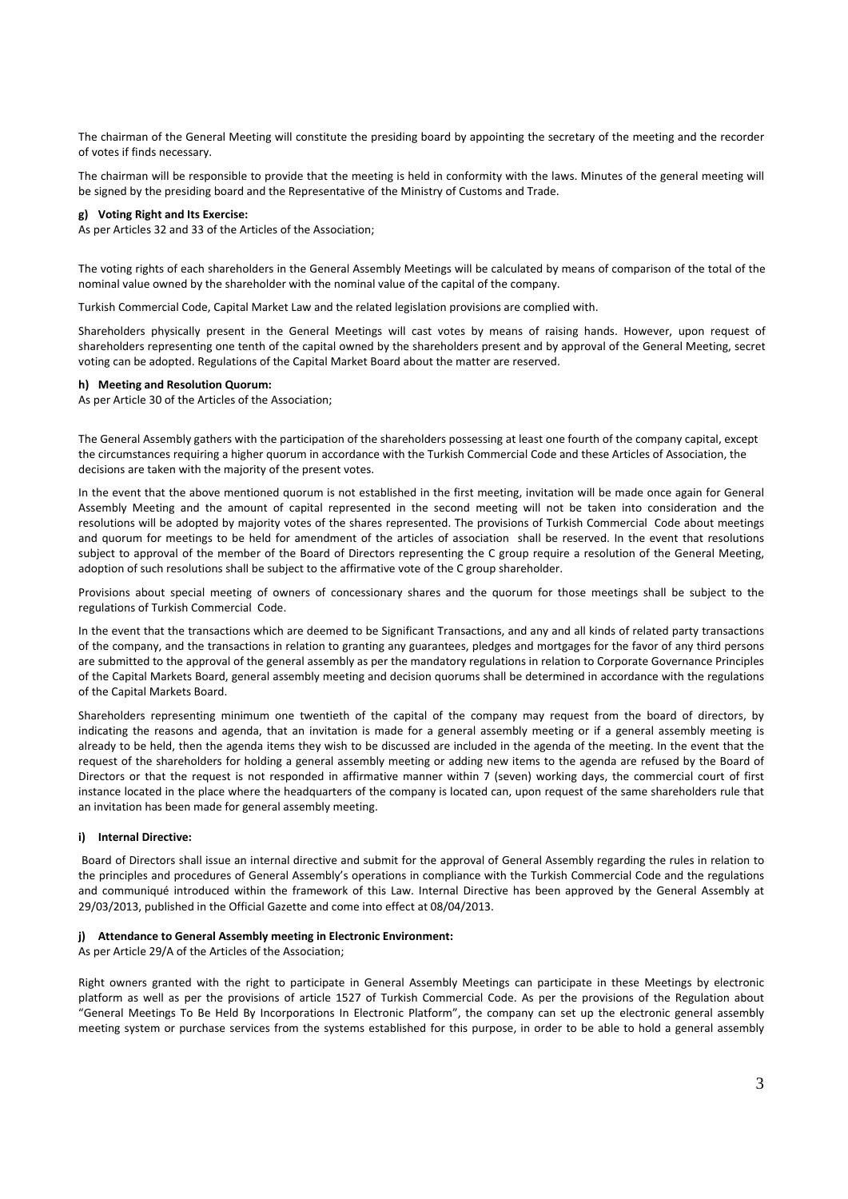The chairman of the General Meeting will constitute the presiding board by appointing the secretary of the meeting and the recorder of votes if finds necessary.

The chairman will be responsible to provide that the meeting is held in conformity with the laws. Minutes of the general meeting will be signed by the presiding board and the Representative of the Ministry of Customs and Trade.

### **g) Voting Right and Its Exercise:**

As per Articles 32 and 33 of the Articles of the Association;

The voting rights of each shareholders in the General Assembly Meetings will be calculated by means of comparison of the total of the nominal value owned by the shareholder with the nominal value of the capital of the company.

Turkish Commercial Code, Capital Market Law and the related legislation provisions are complied with.

Shareholders physically present in the General Meetings will cast votes by means of raising hands. However, upon request of shareholders representing one tenth of the capital owned by the shareholders present and by approval of the General Meeting, secret voting can be adopted. Regulations of the Capital Market Board about the matter are reserved.

### **h) Meeting and Resolution Quorum:**

As per Article 30 of the Articles of the Association;

The General Assembly gathers with the participation of the shareholders possessing at least one fourth of the company capital, except the circumstances requiring a higher quorum in accordance with the Turkish Commercial Code and these Articles of Association, the decisions are taken with the majority of the present votes.

In the event that the above mentioned quorum is not established in the first meeting, invitation will be made once again for General Assembly Meeting and the amount of capital represented in the second meeting will not be taken into consideration and the resolutions will be adopted by majority votes of the shares represented. The provisions of Turkish Commercial Code about meetings and quorum for meetings to be held for amendment of the articles of association shall be reserved. In the event that resolutions subject to approval of the member of the Board of Directors representing the C group require a resolution of the General Meeting, adoption of such resolutions shall be subject to the affirmative vote of the C group shareholder.

Provisions about special meeting of owners of concessionary shares and the quorum for those meetings shall be subject to the regulations of Turkish Commercial Code.

In the event that the transactions which are deemed to be Significant Transactions, and any and all kinds of related party transactions of the company, and the transactions in relation to granting any guarantees, pledges and mortgages for the favor of any third persons are submitted to the approval of the general assembly as per the mandatory regulations in relation to Corporate Governance Principles of the Capital Markets Board, general assembly meeting and decision quorums shall be determined in accordance with the regulations of the Capital Markets Board.

Shareholders representing minimum one twentieth of the capital of the company may request from the board of directors, by indicating the reasons and agenda, that an invitation is made for a general assembly meeting or if a general assembly meeting is already to be held, then the agenda items they wish to be discussed are included in the agenda of the meeting. In the event that the request of the shareholders for holding a general assembly meeting or adding new items to the agenda are refused by the Board of Directors or that the request is not responded in affirmative manner within 7 (seven) working days, the commercial court of first instance located in the place where the headquarters of the company is located can, upon request of the same shareholders rule that an invitation has been made for general assembly meeting.

### **i) Internal Directive:**

Board of Directors shall issue an internal directive and submit for the approval of General Assembly regarding the rules in relation to the principles and procedures of General Assembly's operations in compliance with the Turkish Commercial Code and the regulations and communiqué introduced within the framework of this Law. Internal Directive has been approved by the General Assembly at 29/03/2013, published in the Official Gazette and come into effect at 08/04/2013.

#### **j) Attendance to General Assembly meeting in Electronic Environment:**

As per Article 29/A of the Articles of the Association;

Right owners granted with the right to participate in General Assembly Meetings can participate in these Meetings by electronic platform as well as per the provisions of article 1527 of Turkish Commercial Code. As per the provisions of the Regulation about "General Meetings To Be Held By Incorporations In Electronic Platform", the company can set up the electronic general assembly meeting system or purchase services from the systems established for this purpose, in order to be able to hold a general assembly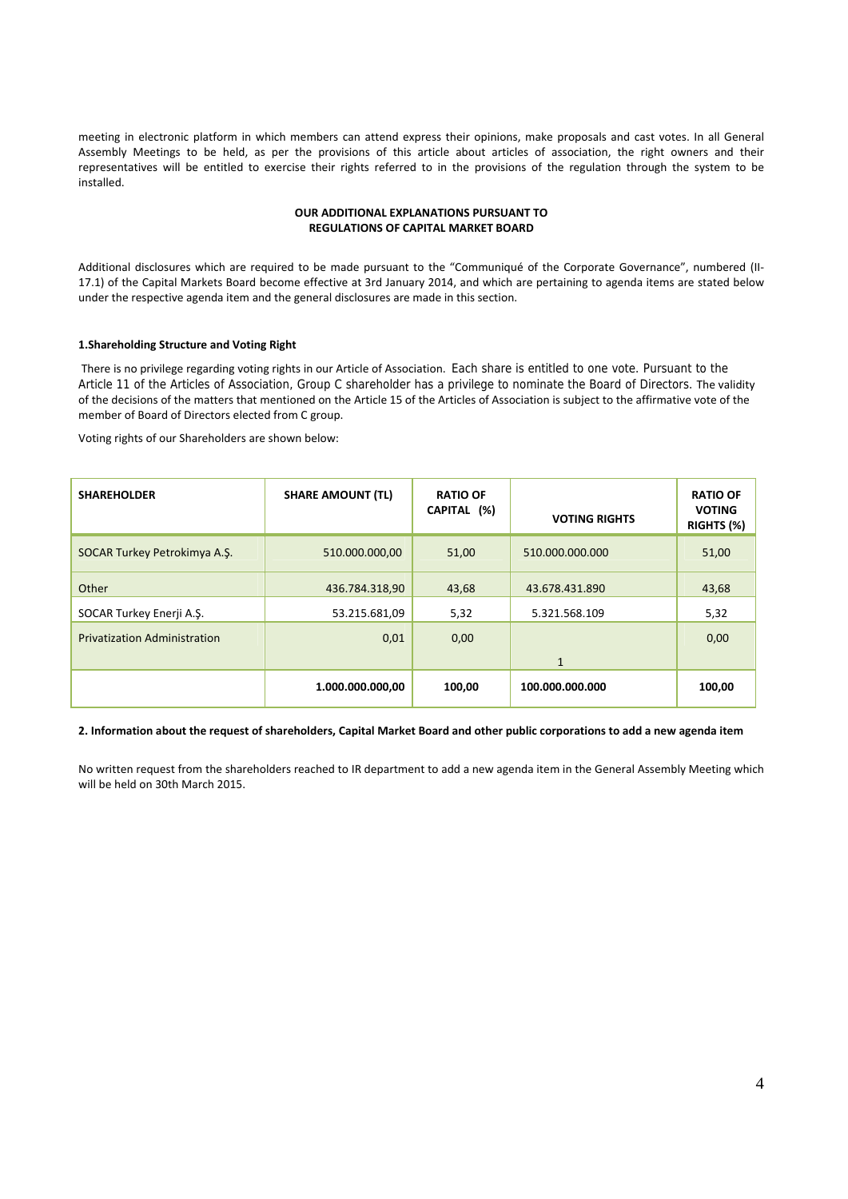meeting in electronic platform in which members can attend express their opinions, make proposals and cast votes. In all General Assembly Meetings to be held, as per the provisions of this article about articles of association, the right owners and their representatives will be entitled to exercise their rights referred to in the provisions of the regulation through the system to be installed.

### **OUR ADDITIONAL EXPLANATIONS PURSUANT TO REGULATIONS OF CAPITAL MARKET BOARD**

Additional disclosures which are required to be made pursuant to the "Communiqué of the Corporate Governance", numbered (II‐ 17.1) of the Capital Markets Board become effective at 3rd January 2014, and which are pertaining to agenda items are stated below under the respective agenda item and the general disclosures are made in this section.

### **1.Shareholding Structure and Voting Right**

There is no privilege regarding voting rights in our Article of Association. Each share is entitled to one vote. Pursuant to the Article 11 of the Articles of Association, Group C shareholder has a privilege to nominate the Board of Directors. The validity of the decisions of the matters that mentioned on the Article 15 of the Articles of Association is subject to the affirmative vote of the member of Board of Directors elected from C group.

Voting rights of our Shareholders are shown below:

| <b>SHAREHOLDER</b>                  | <b>SHARE AMOUNT (TL)</b> | <b>RATIO OF</b><br>CAPITAL (%) | <b>VOTING RIGHTS</b> | <b>RATIO OF</b><br><b>VOTING</b><br>RIGHTS (%) |
|-------------------------------------|--------------------------|--------------------------------|----------------------|------------------------------------------------|
| SOCAR Turkey Petrokimya A.Ş.        | 510.000.000,00           | 51,00                          | 510.000.000.000      | 51,00                                          |
| Other                               | 436.784.318,90           | 43,68                          | 43.678.431.890       | 43,68                                          |
| SOCAR Turkey Enerji A.Ş.            | 53.215.681,09            | 5,32                           | 5.321.568.109        | 5,32                                           |
| <b>Privatization Administration</b> | 0,01                     | 0,00                           |                      | 0,00                                           |
|                                     |                          |                                | $\mathbf{1}$         |                                                |
|                                     | 1.000.000.000,00         | 100,00                         | 100.000.000.000      | 100,00                                         |

2. Information about the request of shareholders, Capital Market Board and other public corporations to add a new agenda item

No written request from the shareholders reached to IR department to add a new agenda item in the General Assembly Meeting which will be held on 30th March 2015.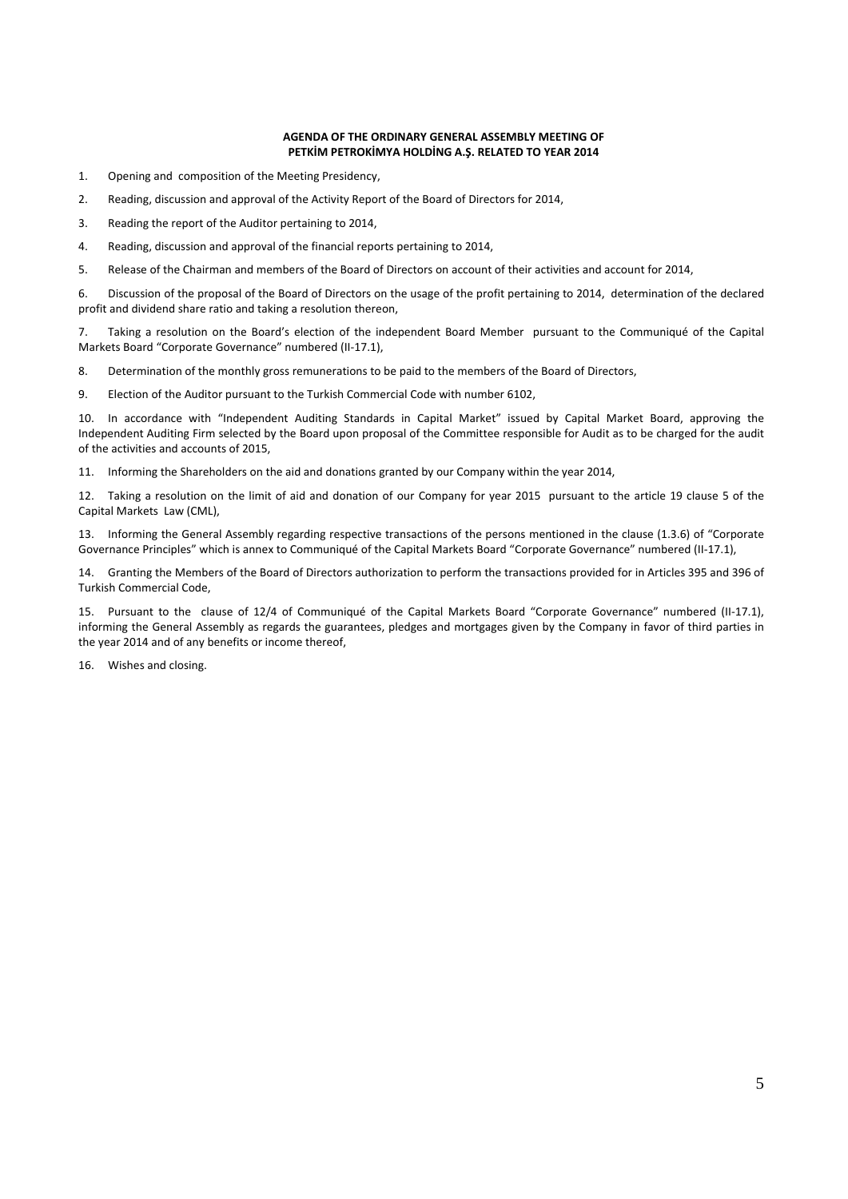### **AGENDA OF THE ORDINARY GENERAL ASSEMBLY MEETING OF PETKİM PETROKİMYA HOLDİNG A.Ş. RELATED TO YEAR 2014**

- 1. Opening and composition of the Meeting Presidency,
- 2. Reading, discussion and approval of the Activity Report of the Board of Directors for 2014,
- 3. Reading the report of the Auditor pertaining to 2014,
- 4. Reading, discussion and approval of the financial reports pertaining to 2014,
- 5. Release of the Chairman and members of the Board of Directors on account of their activities and account for 2014,

6. Discussion of the proposal of the Board of Directors on the usage of the profit pertaining to 2014, determination of the declared profit and dividend share ratio and taking a resolution thereon,

7. Taking a resolution on the Board's election of the independent Board Member pursuant to the Communiqué of the Capital Markets Board "Corporate Governance" numbered (II‐17.1),

8. Determination of the monthly gross remunerations to be paid to the members of the Board of Directors,

9. Election of the Auditor pursuant to the Turkish Commercial Code with number 6102,

10. In accordance with "Independent Auditing Standards in Capital Market" issued by Capital Market Board, approving the Independent Auditing Firm selected by the Board upon proposal of the Committee responsible for Audit as to be charged for the audit of the activities and accounts of 2015,

11. Informing the Shareholders on the aid and donations granted by our Company within the year 2014,

12. Taking a resolution on the limit of aid and donation of our Company for year 2015 pursuant to the article 19 clause 5 of the Capital Markets Law (CML),

13. Informing the General Assembly regarding respective transactions of the persons mentioned in the clause (1.3.6) of "Corporate Governance Principles" which is annex to Communiqué of the Capital Markets Board "Corporate Governance" numbered (II-17.1),

14. Granting the Members of the Board of Directors authorization to perform the transactions provided for in Articles 395 and 396 of Turkish Commercial Code,

15. Pursuant to the clause of 12/4 of Communiqué of the Capital Markets Board "Corporate Governance" numbered (II-17.1), informing the General Assembly as regards the guarantees, pledges and mortgages given by the Company in favor of third parties in the year 2014 and of any benefits or income thereof,

16. Wishes and closing.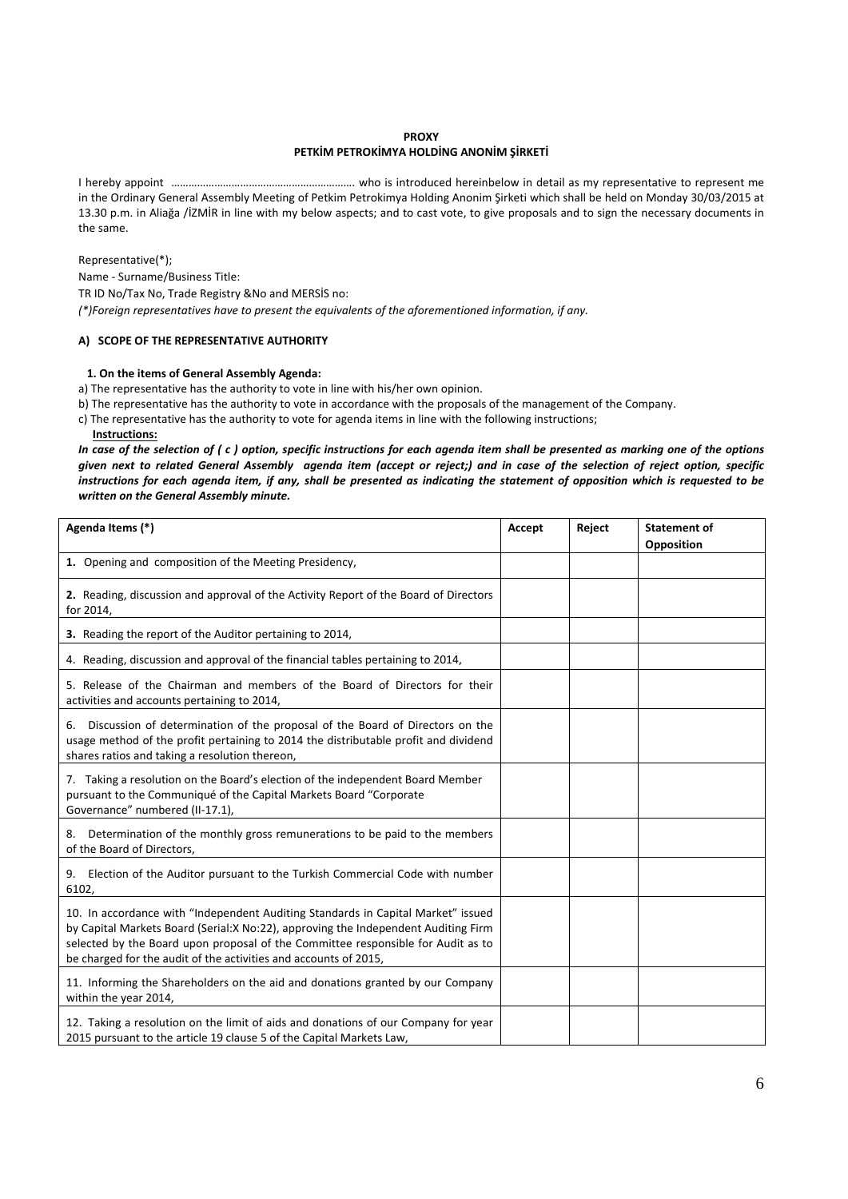### **PROXY**

### **PETKİM PETROKİMYA HOLDİNG ANONİM ŞİRKETİ**

I hereby appoint ………………………………………………………. who is introduced hereinbelow in detail as my representative to represent me in the Ordinary General Assembly Meeting of Petkim Petrokimya Holding Anonim Şirketi which shall be held on Monday 30/03/2015 at 13.30 p.m. in Aliağa /İZMİR in line with my below aspects; and to cast vote, to give proposals and to sign the necessary documents in the same.

Representative(\*); Name ‐ Surname/Business Title: TR ID No/Tax No, Trade Registry &No and MERSİS no: *(\*)Foreign representatives have to present the equivalents of the aforementioned information, if any.* 

### **A) SCOPE OF THE REPRESENTATIVE AUTHORITY**

### **1. On the items of General Assembly Agenda:**

a) The representative has the authority to vote in line with his/her own opinion.

b) The representative has the authority to vote in accordance with the proposals of the management of the Company.

c) The representative has the authority to vote for agenda items in line with the following instructions;

 **Instructions:** 

In case of the selection of  $(c)$  option, specific instructions for each agenda item shall be presented as marking one of the options given next to related General Assembly agenda item (accept or reject;) and in case of the selection of reject option, specific instructions for each agenda item, if any, shall be presented as indicating the statement of opposition which is requested to be *written on the General Assembly minute.*

| Agenda Items (*)                                                                                                                                                                                                                                                                                                                 | Accept | Reject | <b>Statement of</b><br>Opposition |
|----------------------------------------------------------------------------------------------------------------------------------------------------------------------------------------------------------------------------------------------------------------------------------------------------------------------------------|--------|--------|-----------------------------------|
| 1. Opening and composition of the Meeting Presidency,                                                                                                                                                                                                                                                                            |        |        |                                   |
| 2. Reading, discussion and approval of the Activity Report of the Board of Directors<br>for 2014,                                                                                                                                                                                                                                |        |        |                                   |
| 3. Reading the report of the Auditor pertaining to 2014,                                                                                                                                                                                                                                                                         |        |        |                                   |
| 4. Reading, discussion and approval of the financial tables pertaining to 2014,                                                                                                                                                                                                                                                  |        |        |                                   |
| 5. Release of the Chairman and members of the Board of Directors for their<br>activities and accounts pertaining to 2014,                                                                                                                                                                                                        |        |        |                                   |
| Discussion of determination of the proposal of the Board of Directors on the<br>6.<br>usage method of the profit pertaining to 2014 the distributable profit and dividend<br>shares ratios and taking a resolution thereon,                                                                                                      |        |        |                                   |
| 7. Taking a resolution on the Board's election of the independent Board Member<br>pursuant to the Communiqué of the Capital Markets Board "Corporate<br>Governance" numbered (II-17.1),                                                                                                                                          |        |        |                                   |
| 8. Determination of the monthly gross remunerations to be paid to the members<br>of the Board of Directors,                                                                                                                                                                                                                      |        |        |                                   |
| 9. Election of the Auditor pursuant to the Turkish Commercial Code with number<br>6102,                                                                                                                                                                                                                                          |        |        |                                   |
| 10. In accordance with "Independent Auditing Standards in Capital Market" issued<br>by Capital Markets Board (Serial: X No: 22), approving the Independent Auditing Firm<br>selected by the Board upon proposal of the Committee responsible for Audit as to<br>be charged for the audit of the activities and accounts of 2015, |        |        |                                   |
| 11. Informing the Shareholders on the aid and donations granted by our Company<br>within the year 2014,                                                                                                                                                                                                                          |        |        |                                   |
| 12. Taking a resolution on the limit of aids and donations of our Company for year<br>2015 pursuant to the article 19 clause 5 of the Capital Markets Law,                                                                                                                                                                       |        |        |                                   |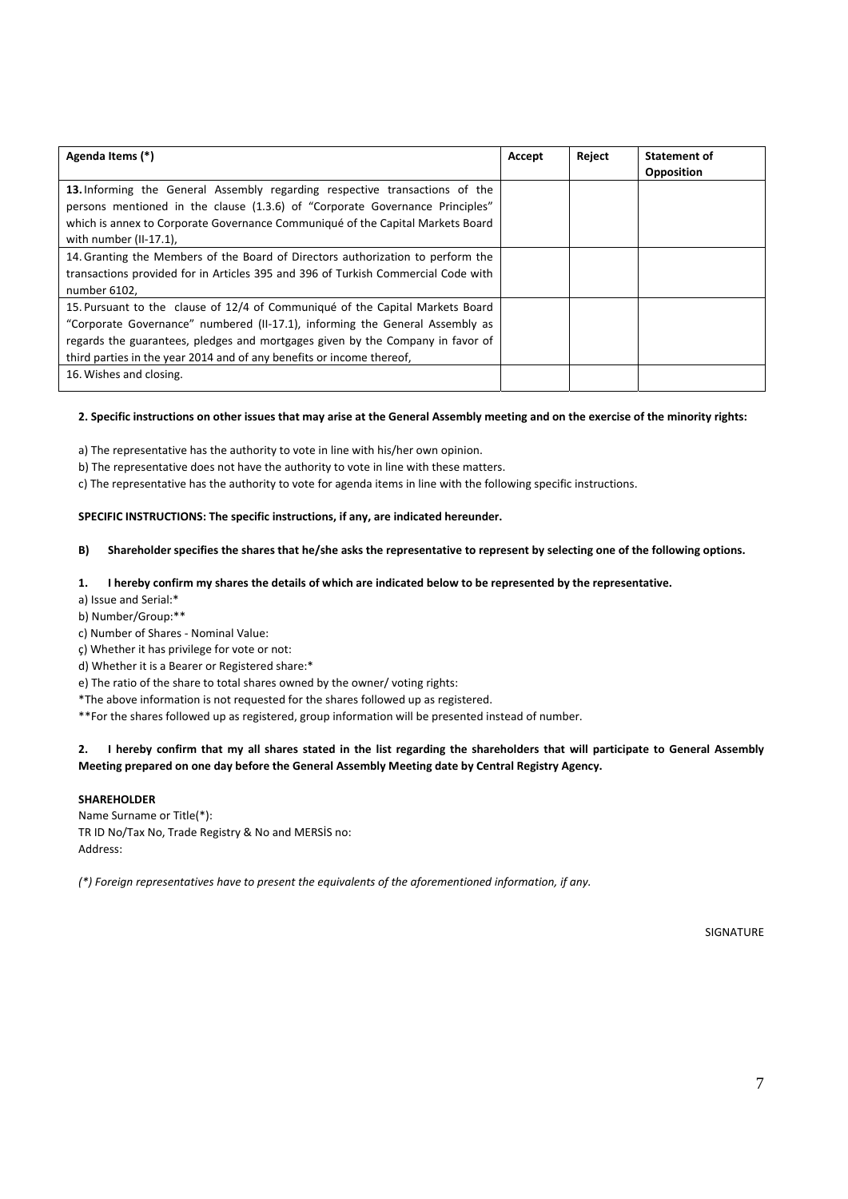| Agenda Items (*)                                                                                                                                                                                                                                                                                                         | Accept | Reject | Statement of<br><b>Opposition</b> |
|--------------------------------------------------------------------------------------------------------------------------------------------------------------------------------------------------------------------------------------------------------------------------------------------------------------------------|--------|--------|-----------------------------------|
| 13. Informing the General Assembly regarding respective transactions of the<br>persons mentioned in the clause (1.3.6) of "Corporate Governance Principles"<br>which is annex to Corporate Governance Communiqué of the Capital Markets Board<br>with number (II-17.1),                                                  |        |        |                                   |
| 14. Granting the Members of the Board of Directors authorization to perform the<br>transactions provided for in Articles 395 and 396 of Turkish Commercial Code with<br>number 6102,                                                                                                                                     |        |        |                                   |
| 15. Pursuant to the clause of 12/4 of Communiqué of the Capital Markets Board<br>"Corporate Governance" numbered (II-17.1), informing the General Assembly as<br>regards the guarantees, pledges and mortgages given by the Company in favor of<br>third parties in the year 2014 and of any benefits or income thereof, |        |        |                                   |
| 16. Wishes and closing.                                                                                                                                                                                                                                                                                                  |        |        |                                   |

### 2. Specific instructions on other issues that may arise at the General Assembly meeting and on the exercise of the minority rights:

a) The representative has the authority to vote in line with his/her own opinion.

b) The representative does not have the authority to vote in line with these matters.

c) The representative has the authority to vote for agenda items in line with the following specific instructions.

# **SPECIFIC INSTRUCTIONS: The specific instructions, if any, are indicated hereunder.**

### B) Shareholder specifies the shares that he/she asks the representative to represent by selecting one of the following options.

### 1. I hereby confirm my shares the details of which are indicated below to be represented by the representative.

a) Issue and Serial:\*

b) Number/Group:\*\*

c) Number of Shares ‐ Nominal Value:

ç) Whether it has privilege for vote or not:

d) Whether it is a Bearer or Registered share:\*

e) The ratio of the share to total shares owned by the owner/ voting rights:

\*The above information is not requested for the shares followed up as registered.

\*\*For the shares followed up as registered, group information will be presented instead of number.

# 2. I hereby confirm that my all shares stated in the list regarding the shareholders that will participate to General Assembly **Meeting prepared on one day before the General Assembly Meeting date by Central Registry Agency.**

### **SHAREHOLDER**

Name Surname or Title(\*): TR ID No/Tax No, Trade Registry & No and MERSİS no: Address:

*(\*) Foreign representatives have to present the equivalents of the aforementioned information, if any.* 

SIGNATURE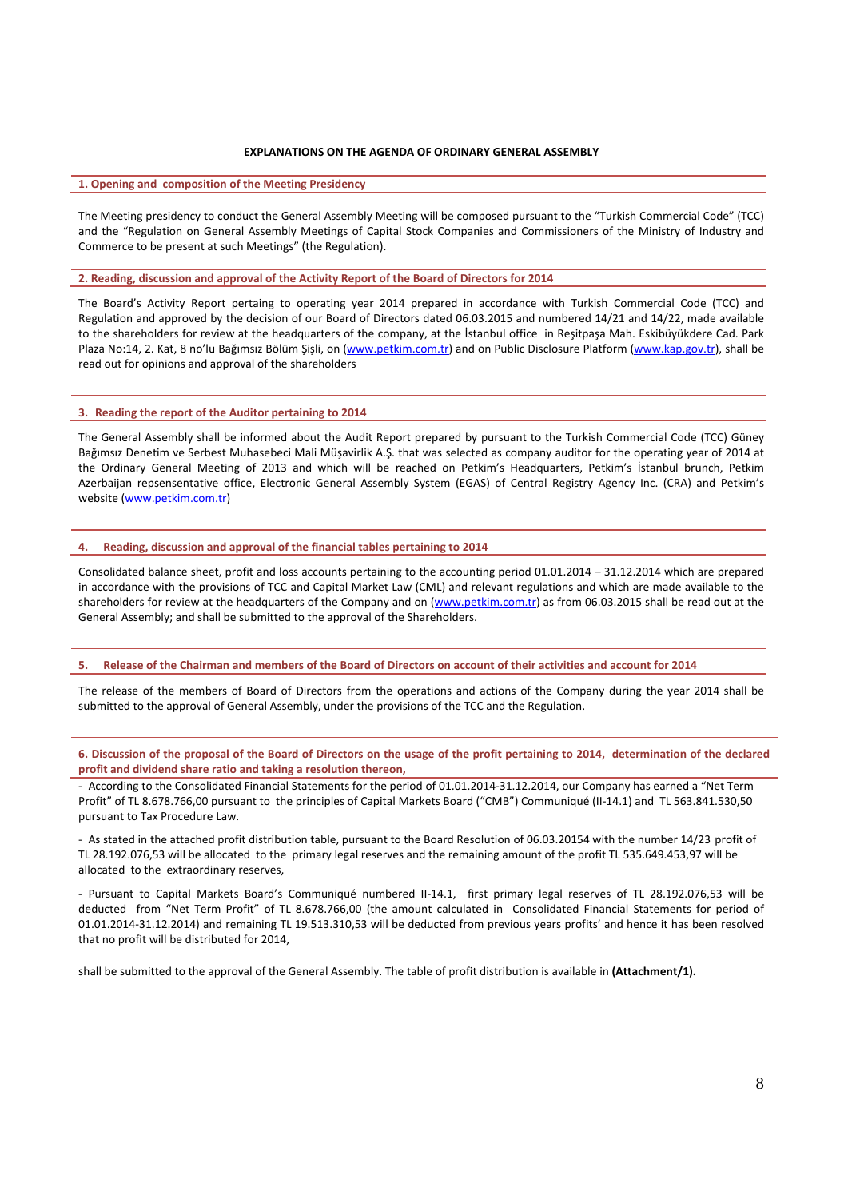### **EXPLANATIONS ON THE AGENDA OF ORDINARY GENERAL ASSEMBLY**

#### **1. Opening and composition of the Meeting Presidency**

The Meeting presidency to conduct the General Assembly Meeting will be composed pursuant to the "Turkish Commercial Code" (TCC) and the "Regulation on General Assembly Meetings of Capital Stock Companies and Commissioners of the Ministry of Industry and Commerce to be present at such Meetings" (the Regulation).

#### **2. Reading, discussion and approval of the Activity Report of the Board of Directors for 2014**

The Board's Activity Report pertaing to operating year 2014 prepared in accordance with Turkish Commercial Code (TCC) and Regulation and approved by the decision of our Board of Directors dated 06.03.2015 and numbered 14/21 and 14/22, made available to the shareholders for review at the headquarters of the company, at the İstanbul office in Reşitpaşa Mah. Eskibüyükdere Cad. Park Plaza No:14, 2. Kat, 8 no'lu Bağımsız Bölüm Şişli, on (www.petkim.com.tr) and on Public Disclosure Platform (www.kap.gov.tr), shall be read out for opinions and approval of the shareholders

### **3. Reading the report of the Auditor pertaining to 2014**

The General Assembly shall be informed about the Audit Report prepared by pursuant to the Turkish Commercial Code (TCC) Güney Bağımsız Denetim ve Serbest Muhasebeci Mali Müşavirlik A.Ş. that was selected as company auditor for the operating year of 2014 at the Ordinary General Meeting of 2013 and which will be reached on Petkim's Headquarters, Petkim's İstanbul brunch, Petkim Azerbaijan repsensentative office, Electronic General Assembly System (EGAS) of Central Registry Agency Inc. (CRA) and Petkim's website (www.petkim.com.tr)

#### **4. Reading, discussion and approval of the financial tables pertaining to 2014**

Consolidated balance sheet, profit and loss accounts pertaining to the accounting period  $01.01.2014 - 31.12.2014$  which are prepared in accordance with the provisions of TCC and Capital Market Law (CML) and relevant regulations and which are made available to the shareholders for review at the headquarters of the Company and on (www.petkim.com.tr) as from 06.03.2015 shall be read out at the General Assembly; and shall be submitted to the approval of the Shareholders.

#### 5. Release of the Chairman and members of the Board of Directors on account of their activities and account for 2014

The release of the members of Board of Directors from the operations and actions of the Company during the year 2014 shall be submitted to the approval of General Assembly, under the provisions of the TCC and the Regulation.

6. Discussion of the proposal of the Board of Directors on the usage of the profit pertaining to 2014, determination of the declared **profit and dividend share ratio and taking a resolution thereon,**

‐ According to the Consolidated Financial Statements for the period of 01.01.2014‐31.12.2014, our Company has earned a "Net Term Profit" of TL 8.678.766,00 pursuant to the principles of Capital Markets Board ("CMB") Communiqué (II‐14.1) and TL 563.841.530,50 pursuant to Tax Procedure Law.

‐ As stated in the attached profit distribution table, pursuant to the Board Resolution of 06.03.20154 with the number 14/23 profit of TL 28.192.076,53 will be allocated to the primary legal reserves and the remaining amount of the profit TL 535.649.453,97 will be allocated to the extraordinary reserves,

‐ Pursuant to Capital Markets Board's Communiqué numbered II‐14.1, first primary legal reserves of TL 28.192.076,53 will be deducted from "Net Term Profit" of TL 8.678.766,00 (the amount calculated in Consolidated Financial Statements for period of 01.01.2014‐31.12.2014) and remaining TL 19.513.310,53 will be deducted from previous years profits' and hence it has been resolved that no profit will be distributed for 2014,

shall be submitted to the approval of the General Assembly. The table of profit distribution is available in **(Attachment/1).**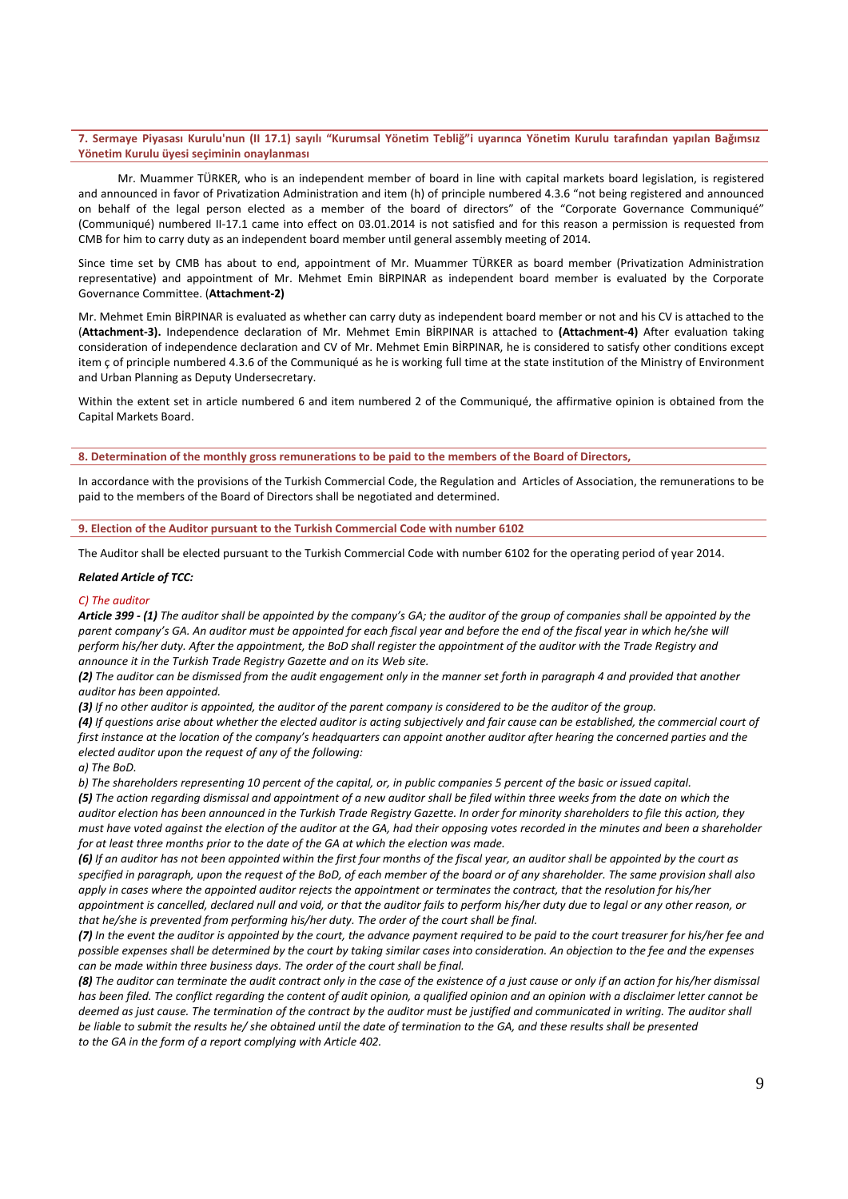### 7. Sermaye Piyasası Kurulu'nun (II 17.1) sayılı "Kurumsal Yönetim Tebliğ"i uyarınca Yönetim Kurulu tarafından yapılan Bağımsız **Yönetim Kurulu üyesi seçiminin onaylanması**

Mr. Muammer TÜRKER, who is an independent member of board in line with capital markets board legislation, is registered and announced in favor of Privatization Administration and item (h) of principle numbered 4.3.6 "not being registered and announced on behalf of the legal person elected as a member of the board of directors" of the "Corporate Governance Communiqué" (Communiqué) numbered II‐17.1 came into effect on 03.01.2014 is not satisfied and for this reason a permission is requested from CMB for him to carry duty as an independent board member until general assembly meeting of 2014.

Since time set by CMB has about to end, appointment of Mr. Muammer TÜRKER as board member (Privatization Administration representative) and appointment of Mr. Mehmet Emin BİRPINAR as independent board member is evaluated by the Corporate Governance Committee. (**Attachment‐2)**

Mr. Mehmet Emin BİRPINAR is evaluated as whether can carry duty as independent board member or not and his CV is attached to the (**Attachment‐3).** Independence declaration of Mr. Mehmet Emin BİRPINAR is attached to **(Attachment‐4)** After evaluation taking consideration of independence declaration and CV of Mr. Mehmet Emin BİRPINAR, he is considered to satisfy other conditions except item ç of principle numbered 4.3.6 of the Communiqué as he is working full time at the state institution of the Ministry of Environment and Urban Planning as Deputy Undersecretary.

Within the extent set in article numbered 6 and item numbered 2 of the Communiqué, the affirmative opinion is obtained from the Capital Markets Board.

8. Determination of the monthly gross remunerations to be paid to the members of the Board of Directors,

In accordance with the provisions of the Turkish Commercial Code, the Regulation and Articles of Association, the remunerations to be paid to the members of the Board of Directors shall be negotiated and determined.

### **9. Election of the Auditor pursuant to the Turkish Commercial Code with number 6102**

The Auditor shall be elected pursuant to the Turkish Commercial Code with number 6102 for the operating period of year 2014.

#### *Related Article of TCC:*

### *C) The auditor*

Article 399 - (1) The auditor shall be appointed by the company's GA; the auditor of the group of companies shall be appointed by the parent company's GA. An auditor must be appointed for each fiscal year and before the end of the fiscal year in which he/she will perform his/her duty. After the appointment, the BoD shall register the appointment of the auditor with the Trade Registry and *announce it in the Turkish Trade Registry Gazette and on its Web site.*

(2) The auditor can be dismissed from the audit engagement only in the manner set forth in paragraph 4 and provided that another *auditor has been appointed.*

(3) If no other auditor is appointed, the auditor of the parent company is considered to be the auditor of the group.

(4) If questions arise about whether the elected auditor is acting subjectively and fair cause can be established, the commercial court of first instance at the location of the company's headquarters can appoint another auditor after hearing the concerned parties and the *elected auditor upon the request of any of the following:*

*a) The BoD.*

b) The shareholders representing 10 percent of the capital, or, in public companies 5 percent of the basic or issued capital.

(5) The action regarding dismissal and appointment of a new auditor shall be filed within three weeks from the date on which the auditor election has been announced in the Turkish Trade Registry Gazette. In order for minority shareholders to file this action, they must have voted against the election of the auditor at the GA, had their opposing votes recorded in the minutes and been a shareholder *for at least three months prior to the date of the GA at which the election was made.*

(6) If an auditor has not been appointed within the first four months of the fiscal year, an auditor shall be appointed by the court as specified in paragraph, upon the request of the BoD, of each member of the board or of any shareholder. The same provision shall also apply in cases where the appointed auditor rejects the appointment or terminates the contract, that the resolution for his/her appointment is cancelled, declared null and void, or that the auditor fails to perform his/her duty due to legal or any other reason, or *that he/she is prevented from performing his/her duty. The order of the court shall be final.*

(7) In the event the auditor is appointed by the court, the advance payment required to be paid to the court treasurer for his/her fee and possible expenses shall be determined by the court by taking similar cases into consideration. An objection to the fee and the expenses *can be made within three business days. The order of the court shall be final.* 

(8) The auditor can terminate the audit contract only in the case of the existence of a just cause or only if an action for his/her dismissal has been filed. The conflict regarding the content of audit opinion, a qualified opinion and an opinion with a disclaimer letter cannot be deemed as just cause. The termination of the contract by the auditor must be justified and communicated in writing. The auditor shall be liable to submit the results he/ she obtained until the date of termination to the GA, and these results shall be presented *to the GA in the form of a report complying with Article 402.*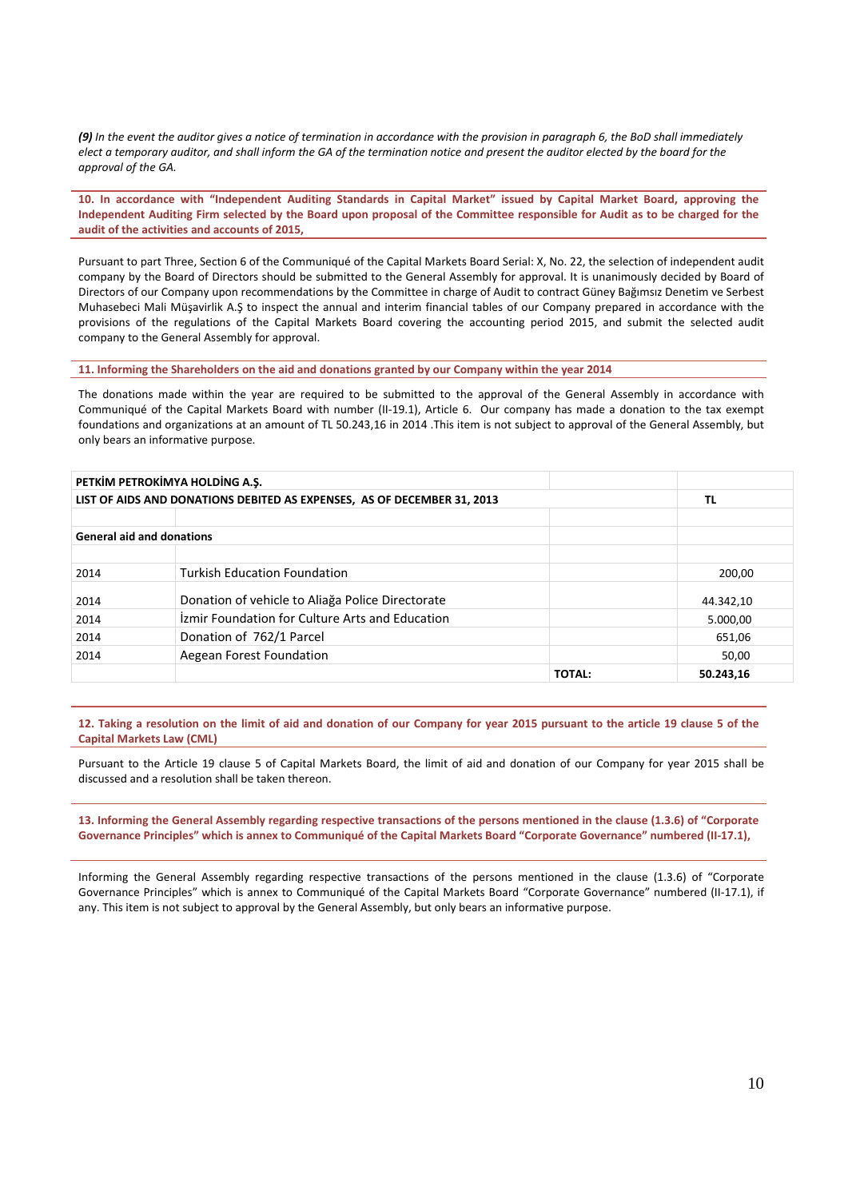(9) In the event the auditor gives a notice of termination in accordance with the provision in paragraph 6, the BoD shall immediately elect a temporary auditor, and shall inform the GA of the termination notice and present the auditor elected by the board for the *approval of the GA.*

10. In accordance with "Independent Auditing Standards in Capital Market" issued by Capital Market Board, approving the Independent Auditing Firm selected by the Board upon proposal of the Committee responsible for Audit as to be charged for the **audit of the activities and accounts of 2015,**

Pursuant to part Three, Section 6 of the Communiqué of the Capital Markets Board Serial: X, No. 22, the selection of independent audit company by the Board of Directors should be submitted to the General Assembly for approval. It is unanimously decided by Board of Directors of our Company upon recommendations by the Committee in charge of Audit to contract Güney Bağımsız Denetim ve Serbest Muhasebeci Mali Müşavirlik A.Ş to inspect the annual and interim financial tables of our Company prepared in accordance with the provisions of the regulations of the Capital Markets Board covering the accounting period 2015, and submit the selected audit company to the General Assembly for approval.

**11. Informing the Shareholders on the aid and donations granted by our Company within the year 2014**

The donations made within the year are required to be submitted to the approval of the General Assembly in accordance with Communiqué of the Capital Markets Board with number (II‐19.1), Article 6. Our company has made a donation to the tax exempt foundations and organizations at an amount of TL 50.243,16 in 2014 .This item is not subject to approval of the General Assembly, but only bears an informative purpose.

| PETKIM PETROKIMYA HOLDING A.S.                                          |                                                  |               |           |
|-------------------------------------------------------------------------|--------------------------------------------------|---------------|-----------|
| LIST OF AIDS AND DONATIONS DEBITED AS EXPENSES, AS OF DECEMBER 31, 2013 |                                                  | ΤL            |           |
|                                                                         |                                                  |               |           |
| <b>General aid and donations</b>                                        |                                                  |               |           |
|                                                                         |                                                  |               |           |
| 2014                                                                    | <b>Turkish Education Foundation</b>              |               | 200,00    |
| 2014                                                                    | Donation of vehicle to Aliağa Police Directorate |               | 44.342,10 |
| 2014                                                                    | Izmir Foundation for Culture Arts and Education  |               | 5.000,00  |
| 2014                                                                    | Donation of 762/1 Parcel                         |               | 651,06    |
| 2014                                                                    | Aegean Forest Foundation                         |               | 50,00     |
|                                                                         |                                                  | <b>TOTAL:</b> | 50.243,16 |

12. Taking a resolution on the limit of aid and donation of our Company for year 2015 pursuant to the article 19 clause 5 of the **Capital Markets Law (CML)**

Pursuant to the Article 19 clause 5 of Capital Markets Board, the limit of aid and donation of our Company for year 2015 shall be discussed and a resolution shall be taken thereon.

13. Informing the General Assembly regarding respective transactions of the persons mentioned in the clause (1.3.6) of "Corporate Governance Principles" which is annex to Communiqué of the Capital Markets Board "Corporate Governance" numbered (II-17.1).

Informing the General Assembly regarding respective transactions of the persons mentioned in the clause (1.3.6) of "Corporate Governance Principles" which is annex to Communiqué of the Capital Markets Board "Corporate Governance" numbered (II‐17.1), if any. This item is not subject to approval by the General Assembly, but only bears an informative purpose.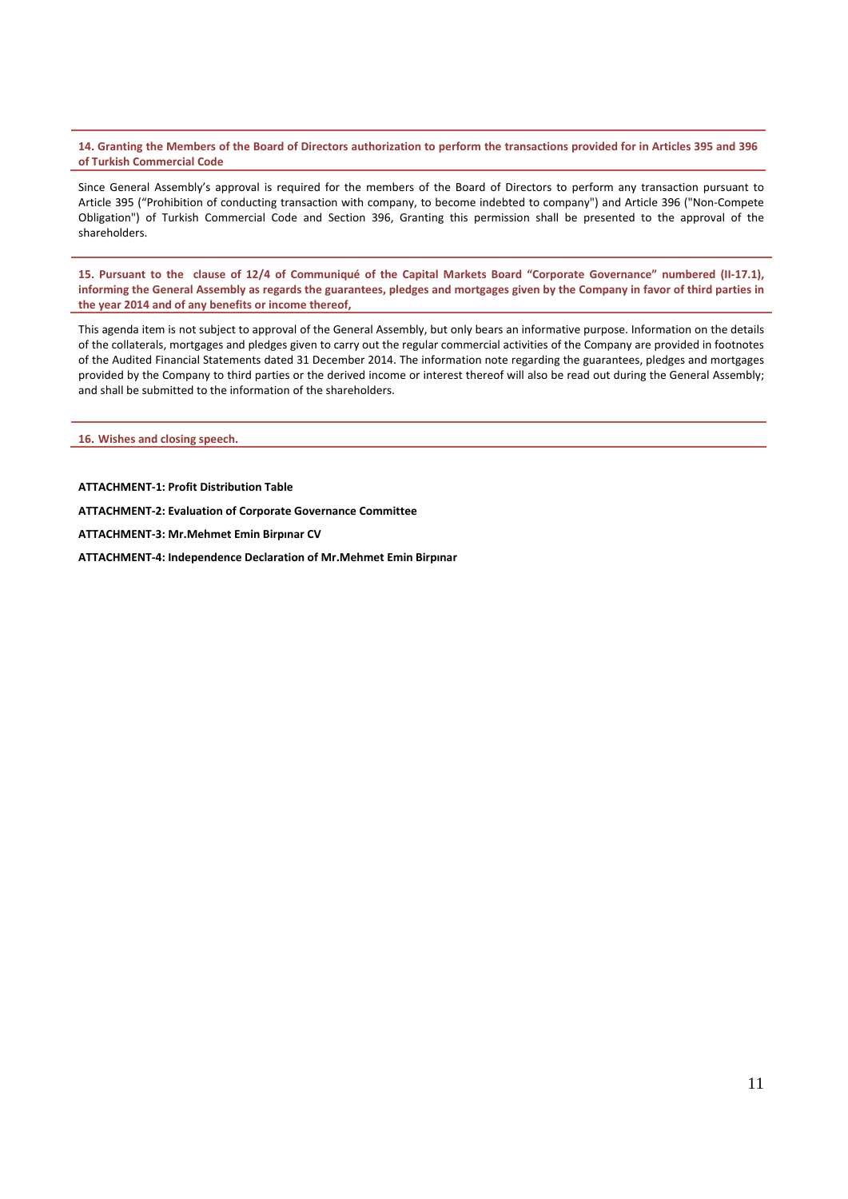14. Granting the Members of the Board of Directors authorization to perform the transactions provided for in Articles 395 and 396 **of Turkish Commercial Code**

Since General Assembly's approval is required for the members of the Board of Directors to perform any transaction pursuant to Article 395 ("Prohibition of conducting transaction with company, to become indebted to company") and Article 396 ("Non‐Compete Obligation") of Turkish Commercial Code and Section 396, Granting this permission shall be presented to the approval of the shareholders.

15. Pursuant to the clause of 12/4 of Communiqué of the Capital Markets Board "Corporate Governance" numbered (II-17.1), informing the General Assembly as regards the guarantees, pledges and mortgages given by the Company in favor of third parties in **the year 2014 and of any benefits or income thereof,**

This agenda item is not subject to approval of the General Assembly, but only bears an informative purpose. Information on the details of the collaterals, mortgages and pledges given to carry out the regular commercial activities of the Company are provided in footnotes of the Audited Financial Statements dated 31 December 2014. The information note regarding the guarantees, pledges and mortgages provided by the Company to third parties or the derived income or interest thereof will also be read out during the General Assembly; and shall be submitted to the information of the shareholders.

**16. Wishes and closing speech.**

**ATTACHMENT‐1: Profit Distribution Table**

**ATTACHMENT‐2: Evaluation of Corporate Governance Committee**

**ATTACHMENT‐3: Mr.Mehmet Emin Birpınar CV**

**ATTACHMENT‐4: Independence Declaration of Mr.Mehmet Emin Birpınar**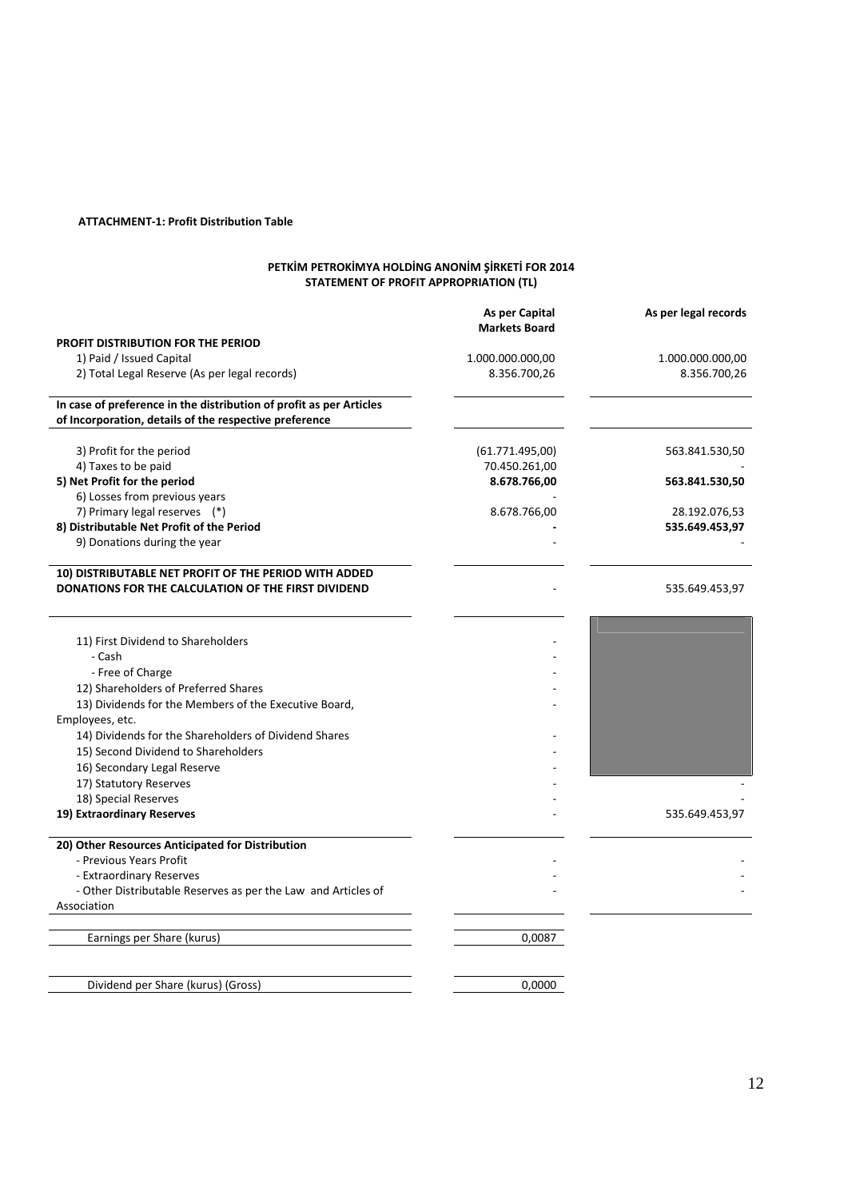# **ATTACHMENT‐1: Profit Distribution Table**

### **PETKİM PETROKİMYA HOLDİNG ANONİM ŞİRKETİ FOR 2014 STATEMENT OF PROFIT APPROPRIATION (TL)**

|                                                                     | As per Capital<br><b>Markets Board</b> | As per legal records |
|---------------------------------------------------------------------|----------------------------------------|----------------------|
| <b>PROFIT DISTRIBUTION FOR THE PERIOD</b>                           |                                        |                      |
| 1) Paid / Issued Capital                                            | 1.000.000.000,00                       | 1.000.000.000,00     |
| 2) Total Legal Reserve (As per legal records)                       | 8.356.700,26                           | 8.356.700,26         |
|                                                                     |                                        |                      |
| In case of preference in the distribution of profit as per Articles |                                        |                      |
| of Incorporation, details of the respective preference              |                                        |                      |
| 3) Profit for the period                                            | (61.771.495,00)                        | 563.841.530,50       |
| 4) Taxes to be paid                                                 | 70.450.261,00                          |                      |
| 5) Net Profit for the period                                        | 8.678.766,00                           | 563.841.530,50       |
| 6) Losses from previous years                                       |                                        |                      |
| 7) Primary legal reserves (*)                                       | 8.678.766,00                           | 28.192.076,53        |
| 8) Distributable Net Profit of the Period                           |                                        | 535.649.453,97       |
| 9) Donations during the year                                        |                                        |                      |
|                                                                     |                                        |                      |
| 10) DISTRIBUTABLE NET PROFIT OF THE PERIOD WITH ADDED               |                                        |                      |
| DONATIONS FOR THE CALCULATION OF THE FIRST DIVIDEND                 |                                        | 535.649.453,97       |
|                                                                     |                                        |                      |
|                                                                     |                                        |                      |
| 11) First Dividend to Shareholders                                  |                                        |                      |
| - Cash                                                              |                                        |                      |
| - Free of Charge                                                    |                                        |                      |
| 12) Shareholders of Preferred Shares                                |                                        |                      |
| 13) Dividends for the Members of the Executive Board,               |                                        |                      |
| Employees, etc.                                                     |                                        |                      |
| 14) Dividends for the Shareholders of Dividend Shares               |                                        |                      |
| 15) Second Dividend to Shareholders                                 |                                        |                      |
| 16) Secondary Legal Reserve                                         |                                        |                      |
| 17) Statutory Reserves                                              |                                        |                      |
| 18) Special Reserves                                                |                                        |                      |
| 19) Extraordinary Reserves                                          |                                        | 535.649.453,97       |
|                                                                     |                                        |                      |
| 20) Other Resources Anticipated for Distribution                    |                                        |                      |
| - Previous Years Profit                                             |                                        |                      |
| - Extraordinary Reserves                                            |                                        |                      |
| - Other Distributable Reserves as per the Law and Articles of       |                                        |                      |
| Association                                                         |                                        |                      |
|                                                                     |                                        |                      |
| Earnings per Share (kurus)                                          | 0,0087                                 |                      |
|                                                                     |                                        |                      |

Dividend per Share (kurus) (Gross) 0,0000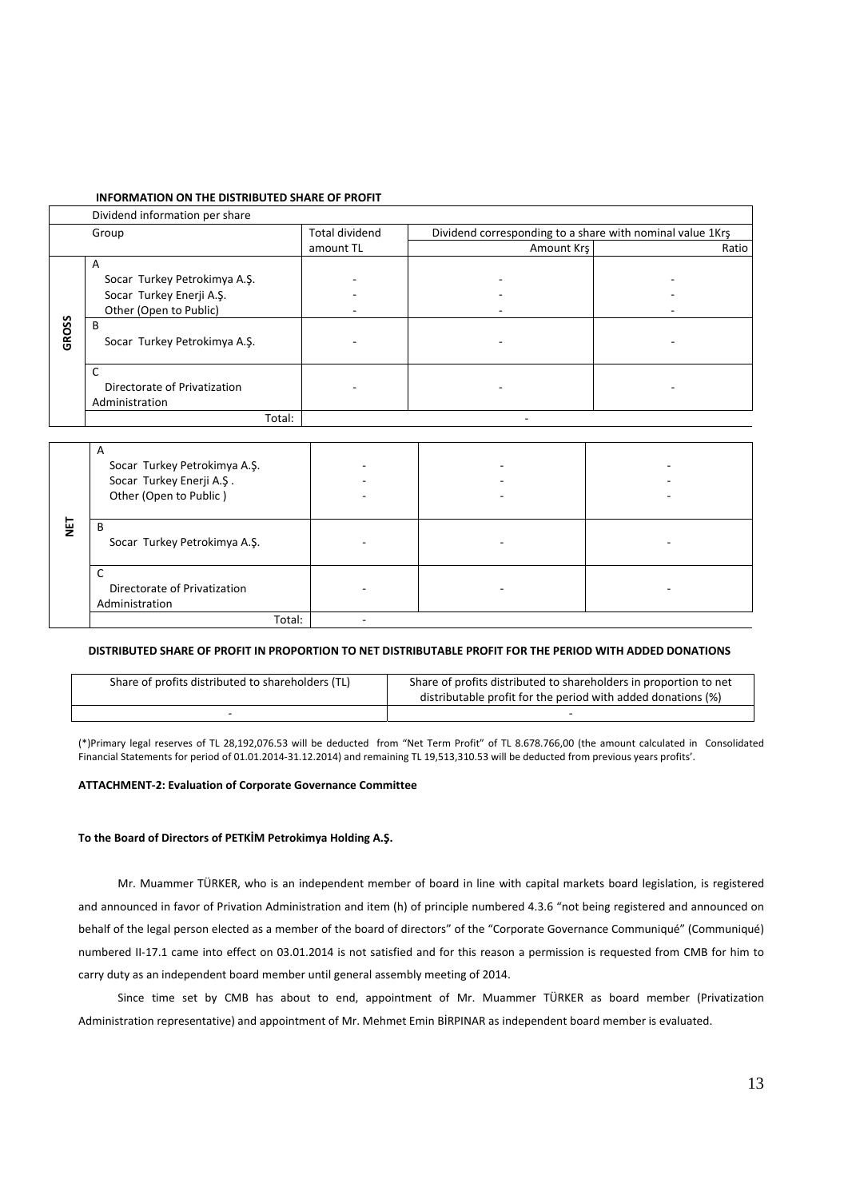### **INFORMATION ON THE DISTRIBUTED SHARE OF PROFIT**

|       | Dividend information per share                                                                                               |                          |                                                           |       |
|-------|------------------------------------------------------------------------------------------------------------------------------|--------------------------|-----------------------------------------------------------|-------|
|       | Group                                                                                                                        | <b>Total dividend</b>    | Dividend corresponding to a share with nominal value 1Krs |       |
|       |                                                                                                                              | amount TL                | Amount Krs                                                | Ratio |
| GROSS | A<br>Socar Turkey Petrokimya A.Ş.<br>Socar Turkey Enerji A.Ş.<br>Other (Open to Public)<br>B<br>Socar Turkey Petrokimya A.Ş. | $\overline{\phantom{a}}$ |                                                           |       |
|       | Directorate of Privatization<br>Administration<br>Total:                                                                     | $\overline{\phantom{a}}$ |                                                           |       |

|   | A<br>Socar Turkey Petrokimya A.Ş.<br>Socar Turkey Enerji A.Ş.<br>Other (Open to Public) |  |  |
|---|-----------------------------------------------------------------------------------------|--|--|
| 달 | B<br>Socar Turkey Petrokimya A.Ş.                                                       |  |  |
|   | ◡<br>Directorate of Privatization<br>Administration                                     |  |  |
|   | Total:                                                                                  |  |  |

### **DISTRIBUTED SHARE OF PROFIT IN PROPORTION TO NET DISTRIBUTABLE PROFIT FOR THE PERIOD WITH ADDED DONATIONS**

| Share of profits distributed to shareholders (TL) | Share of profits distributed to shareholders in proportion to net |
|---------------------------------------------------|-------------------------------------------------------------------|
|                                                   | distributable profit for the period with added donations (%)      |
|                                                   |                                                                   |

(\*)Primary legal reserves of TL 28,192,076.53 will be deducted from "Net Term Profit" of TL 8.678.766,00 (the amount calculated in Consolidated Financial Statements for period of 01.01.2014‐31.12.2014) and remaining TL 19,513,310.53 will be deducted from previous years profits'.

# **ATTACHMENT‐2: Evaluation of Corporate Governance Committee**

### **To the Board of Directors of PETKİM Petrokimya Holding A.Ş.**

Mr. Muammer TÜRKER, who is an independent member of board in line with capital markets board legislation, is registered and announced in favor of Privation Administration and item (h) of principle numbered 4.3.6 "not being registered and announced on behalf of the legal person elected as a member of the board of directors" of the "Corporate Governance Communiqué" (Communiqué) numbered II‐17.1 came into effect on 03.01.2014 is not satisfied and for this reason a permission is requested from CMB for him to carry duty as an independent board member until general assembly meeting of 2014.

Since time set by CMB has about to end, appointment of Mr. Muammer TÜRKER as board member (Privatization Administration representative) and appointment of Mr. Mehmet Emin BİRPINAR as independent board member is evaluated.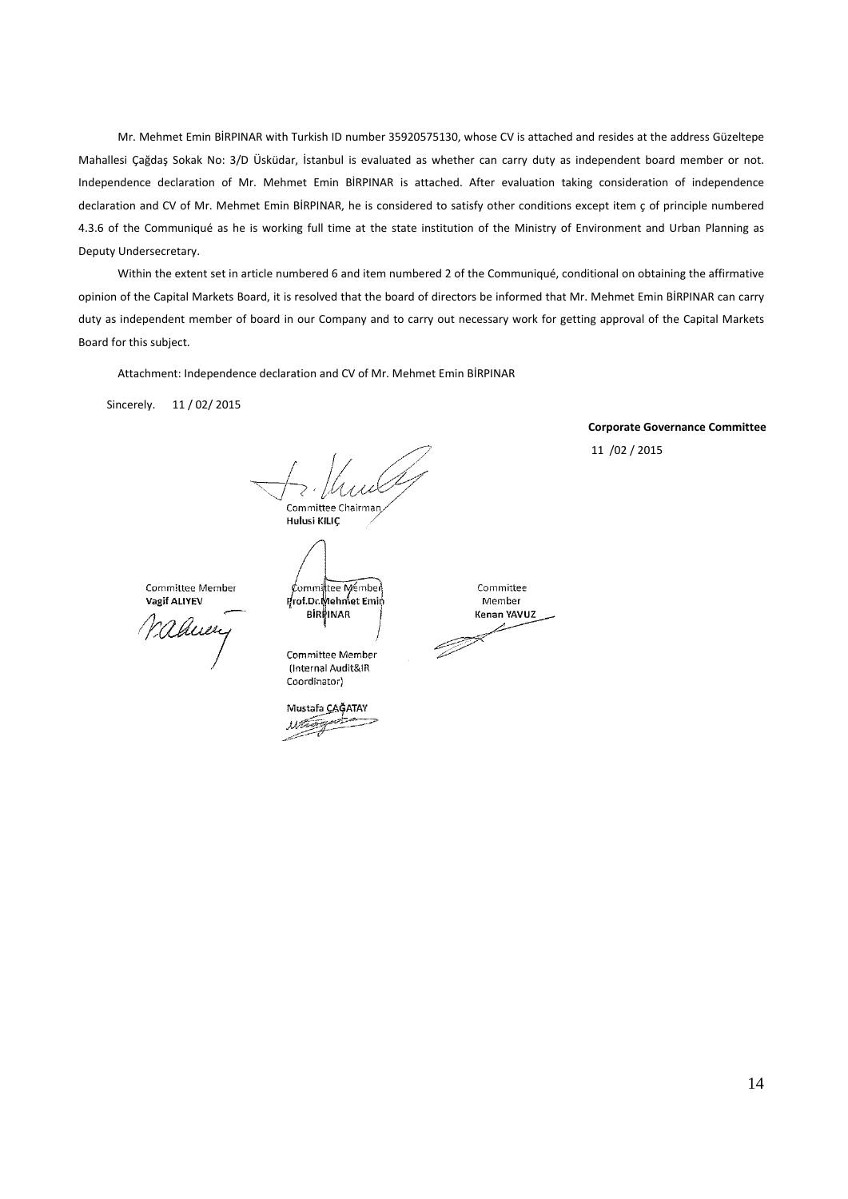Mr. Mehmet Emin BİRPINAR with Turkish ID number 35920575130, whose CV is attached and resides at the address Güzeltepe Mahallesi Çağdaş Sokak No: 3/D Üsküdar, İstanbul is evaluated as whether can carry duty as independent board member or not. Independence declaration of Mr. Mehmet Emin BİRPINAR is attached. After evaluation taking consideration of independence declaration and CV of Mr. Mehmet Emin BİRPINAR, he is considered to satisfy other conditions except item ç of principle numbered 4.3.6 of the Communiqué as he is working full time at the state institution of the Ministry of Environment and Urban Planning as Deputy Undersecretary.

Within the extent set in article numbered 6 and item numbered 2 of the Communiqué, conditional on obtaining the affirmative opinion of the Capital Markets Board, it is resolved that the board of directors be informed that Mr. Mehmet Emin BİRPINAR can carry duty as independent member of board in our Company and to carry out necessary work for getting approval of the Capital Markets Board for this subject.

Attachment: Independence declaration and CV of Mr. Mehmet Emin BİRPINAR

Sincerely. 11 / 02/ 2015

Committee Chairman

Hulusi KILIC

Committee Member Vagif ALIYEV

Nahuery

Committee Member

Committee Member

Prof.Dr.Mehmet Emin

**BIRPINAR** 

(Internal Audit&IR Coordinator)

Mustafa CAGATAY Whenpot

**Corporate Governance Committee**  11 /02 / 2015

Committee Member Kenan YAVUZ